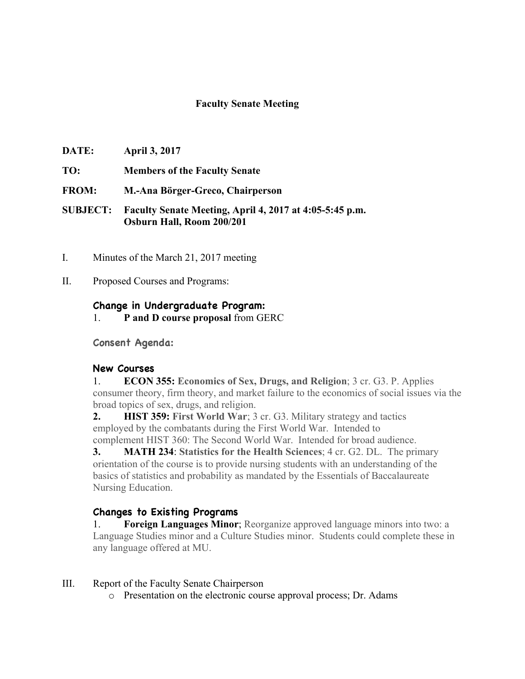## **Faculty Senate Meeting**

- **DATE: April 3, 2017**
- **TO: Members of the Faculty Senate**
- **FROM: M.-Ana Börger-Greco, Chairperson**
- **SUBJECT: Faculty Senate Meeting, April 4, 2017 at 4:05-5:45 p.m. Osburn Hall, Room 200/201**
- I. Minutes of the March 21, 2017 meeting
- II. Proposed Courses and Programs:

### **Change in Undergraduate Program:**

1. **P and D course proposal** from GERC

**Consent Agenda:**

### **New Courses**

1. **ECON 355: Economics of Sex, Drugs, and Religion**; 3 cr. G3. P. Applies consumer theory, firm theory, and market failure to the economics of social issues via the broad topics of sex, drugs, and religion.

**2. HIST 359: First World War**; 3 cr. G3. Military strategy and tactics employed by the combatants during the First World War. Intended to complement HIST 360: The Second World War. Intended for broad audience.

**3. MATH 234**: **Statistics for the Health Sciences**; 4 cr. G2. DL. The primary orientation of the course is to provide nursing students with an understanding of the basics of statistics and probability as mandated by the Essentials of Baccalaureate Nursing Education.

# **Changes to Existing Programs**

1. **Foreign Languages Minor**; Reorganize approved language minors into two: a Language Studies minor and a Culture Studies minor. Students could complete these in any language offered at MU.

### III. Report of the Faculty Senate Chairperson

o Presentation on the electronic course approval process; Dr. Adams